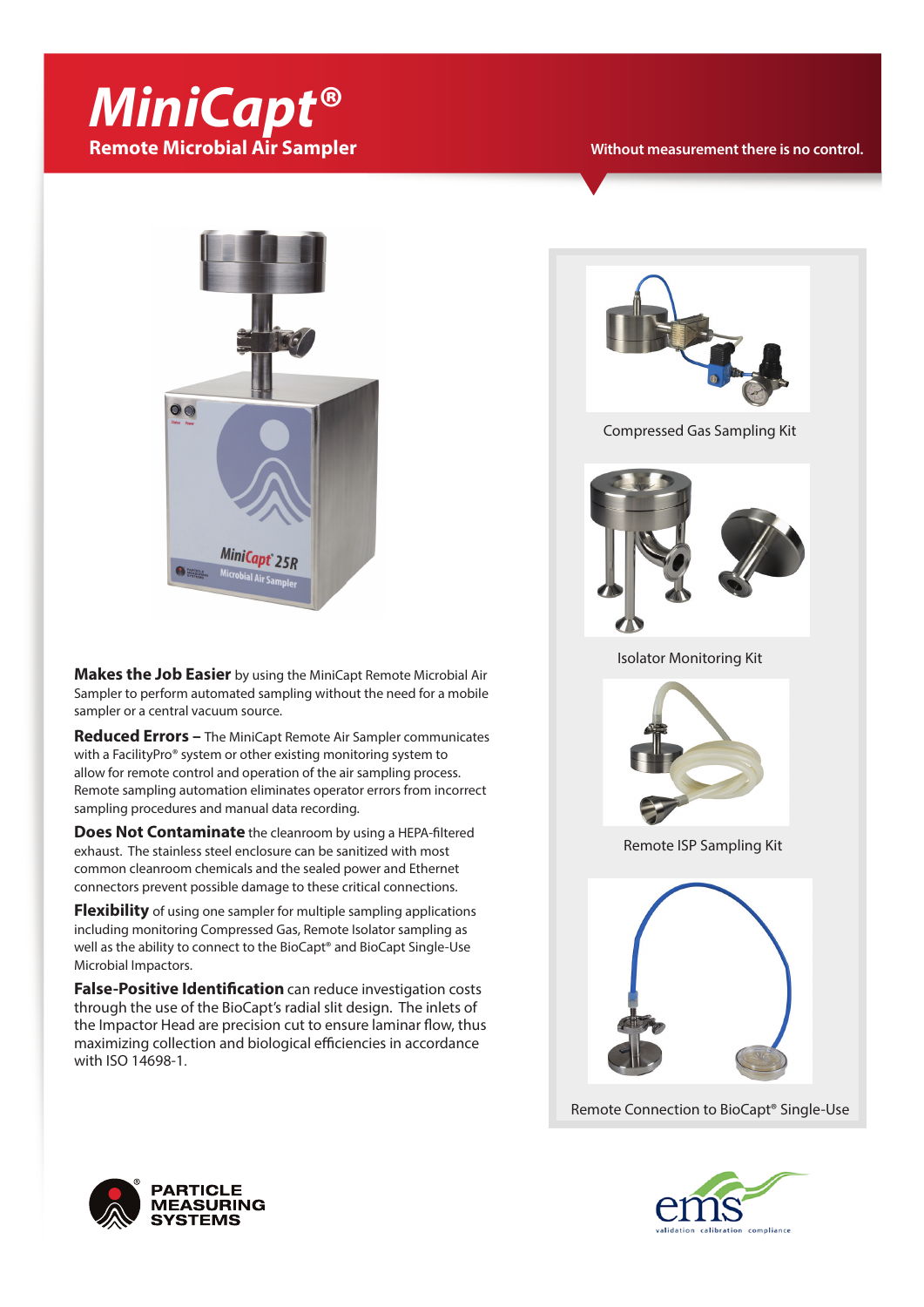# *MiniCapt®* **Remote Microbial Air Sampler**

**Without measurement there is no control.**



**Makes the Job Easier** by using the MiniCapt Remote Microbial Air Sampler to perform automated sampling without the need for a mobile sampler or a central vacuum source.

**Reduced Errors –** The MiniCapt Remote Air Sampler communicates with a FacilityPro® system or other existing monitoring system to allow for remote control and operation of the air sampling process. Remote sampling automation eliminates operator errors from incorrect sampling procedures and manual data recording.

**Does Not Contaminate** the cleanroom by using a HEPA-filtered exhaust. The stainless steel enclosure can be sanitized with most common cleanroom chemicals and the sealed power and Ethernet connectors prevent possible damage to these critical connections.

**Flexibility** of using one sampler for multiple sampling applications including monitoring Compressed Gas, Remote Isolator sampling as well as the ability to connect to the BioCapt® and BioCapt Single-Use Microbial Impactors.

**False-Positive Identification** can reduce investigation costs through the use of the BioCapt's radial slit design. The inlets of the Impactor Head are precision cut to ensure laminar flow, thus maximizing collection and biological efficiencies in accordance with ISO 14698-1.



Compressed Gas Sampling Kit



Isolator Monitoring Kit



Remote ISP Sampling Kit



Remote Connection to BioCapt® Single-Use